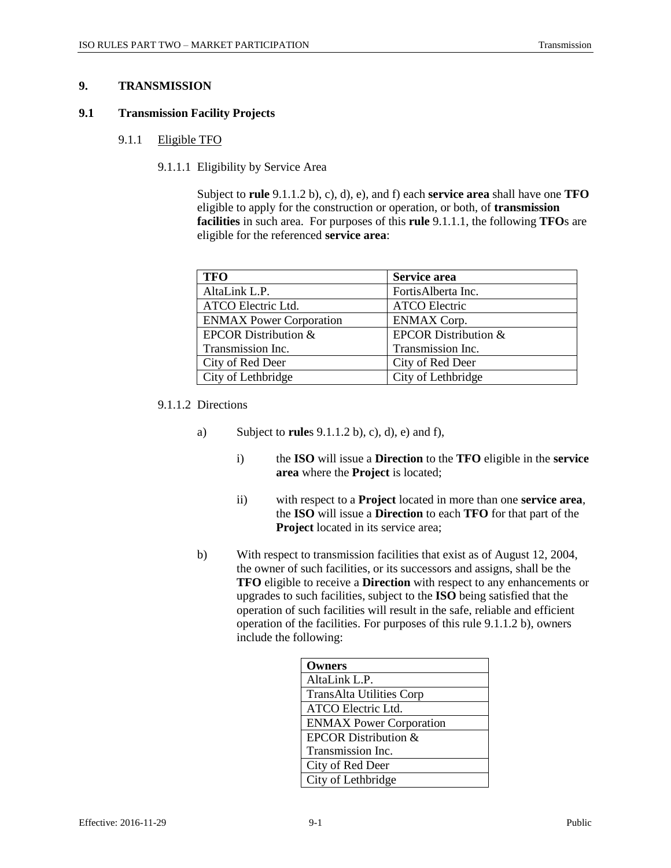## **9. TRANSMISSION**

#### **9.1 Transmission Facility Projects**

### 9.1.1 Eligible TFO

9.1.1.1 Eligibility by Service Area

Subject to **rule** 9.1.1.2 b), c), d), e), and f) each **service area** shall have one **TFO** eligible to apply for the construction or operation, or both, of **transmission facilities** in such area. For purposes of this **rule** 9.1.1.1, the following **TFO**s are eligible for the referenced **service area**:

| <b>TFO</b>                     | Service area                    |
|--------------------------------|---------------------------------|
| AltaLink L.P.                  | FortisAlberta Inc.              |
| ATCO Electric Ltd.             | <b>ATCO Electric</b>            |
| <b>ENMAX Power Corporation</b> | <b>ENMAX Corp.</b>              |
| EPCOR Distribution &           | <b>EPCOR Distribution &amp;</b> |
| Transmission Inc.              | Transmission Inc.               |
| City of Red Deer               | City of Red Deer                |
| City of Lethbridge             | City of Lethbridge              |

9.1.1.2 Directions

- a) Subject to **rule**s 9.1.1.2 b), c), d), e) and f),
	- i) the **ISO** will issue a **Direction** to the **TFO** eligible in the **service area** where the **Project** is located;
	- ii) with respect to a **Project** located in more than one **service area**, the **ISO** will issue a **Direction** to each **TFO** for that part of the **Project** located in its service area;
- b) With respect to transmission facilities that exist as of August 12, 2004, the owner of such facilities, or its successors and assigns, shall be the **TFO** eligible to receive a **Direction** with respect to any enhancements or upgrades to such facilities, subject to the **ISO** being satisfied that the operation of such facilities will result in the safe, reliable and efficient operation of the facilities. For purposes of this rule 9.1.1.2 b), owners include the following:

| <b>Owners</b>                   |
|---------------------------------|
| AltaLink L.P.                   |
| <b>TransAlta Utilities Corp</b> |
| ATCO Electric Ltd.              |
| <b>ENMAX Power Corporation</b>  |
| <b>EPCOR Distribution &amp;</b> |
| Transmission Inc.               |
| City of Red Deer                |
| City of Lethbridge              |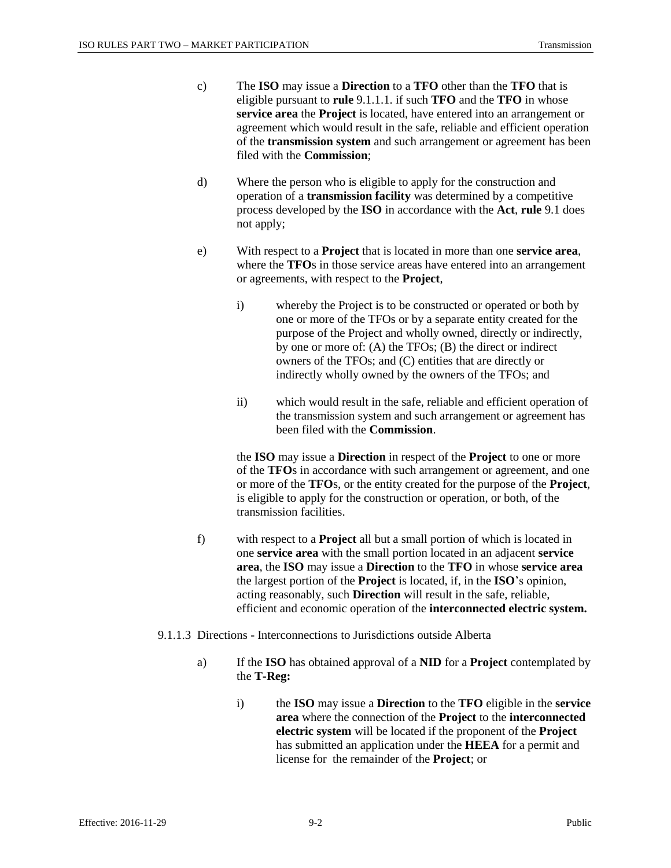- c) The **ISO** may issue a **Direction** to a **TFO** other than the **TFO** that is eligible pursuant to **rule** 9.1.1.1. if such **TFO** and the **TFO** in whose **service area** the **Project** is located, have entered into an arrangement or agreement which would result in the safe, reliable and efficient operation of the **transmission system** and such arrangement or agreement has been filed with the **Commission**;
- d) Where the person who is eligible to apply for the construction and operation of a **transmission facility** was determined by a competitive process developed by the **ISO** in accordance with the **Act**, **rule** 9.1 does not apply;
- e) With respect to a **Project** that is located in more than one **service area**, where the **TFO**s in those service areas have entered into an arrangement or agreements, with respect to the **Project**,
	- i) whereby the Project is to be constructed or operated or both by one or more of the TFOs or by a separate entity created for the purpose of the Project and wholly owned, directly or indirectly, by one or more of: (A) the TFOs; (B) the direct or indirect owners of the TFOs; and (C) entities that are directly or indirectly wholly owned by the owners of the TFOs; and
	- ii) which would result in the safe, reliable and efficient operation of the transmission system and such arrangement or agreement has been filed with the **Commission**.

the **ISO** may issue a **Direction** in respect of the **Project** to one or more of the **TFO**s in accordance with such arrangement or agreement, and one or more of the **TFO**s, or the entity created for the purpose of the **Project**, is eligible to apply for the construction or operation, or both, of the transmission facilities.

- f) with respect to a **Project** all but a small portion of which is located in one **service area** with the small portion located in an adjacent **service area**, the **ISO** may issue a **Direction** to the **TFO** in whose **service area** the largest portion of the **Project** is located, if, in the **ISO**'s opinion, acting reasonably, such **Direction** will result in the safe, reliable, efficient and economic operation of the **interconnected electric system.**
- 9.1.1.3 Directions Interconnections to Jurisdictions outside Alberta
	- a) If the **ISO** has obtained approval of a **NID** for a **Project** contemplated by the **T-Reg:**
		- i) the **ISO** may issue a **Direction** to the **TFO** eligible in the **service area** where the connection of the **Project** to the **interconnected electric system** will be located if the proponent of the **Project** has submitted an application under the **HEEA** for a permit and license for the remainder of the **Project**; or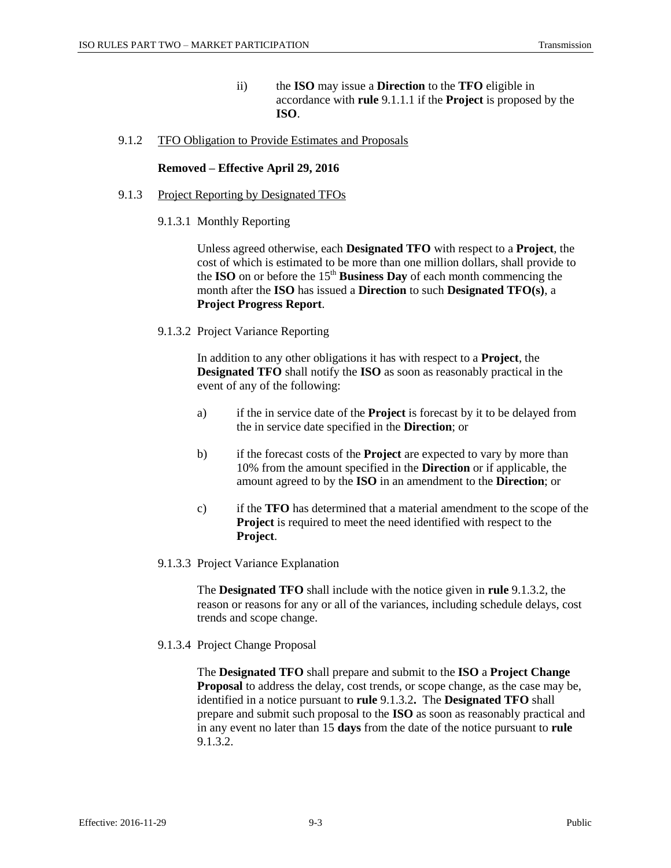ii) the **ISO** may issue a **Direction** to the **TFO** eligible in accordance with **rule** 9.1.1.1 if the **Project** is proposed by the **ISO**.

### 9.1.2 TFO Obligation to Provide Estimates and Proposals

#### **Removed – Effective April 29, 2016**

- 9.1.3 Project Reporting by Designated TFOs
	- 9.1.3.1 Monthly Reporting

Unless agreed otherwise, each **Designated TFO** with respect to a **Project**, the cost of which is estimated to be more than one million dollars, shall provide to the **ISO** on or before the  $15<sup>th</sup>$  **Business Day** of each month commencing the month after the **ISO** has issued a **Direction** to such **Designated TFO(s)**, a **Project Progress Report**.

9.1.3.2 Project Variance Reporting

In addition to any other obligations it has with respect to a **Project**, the **Designated TFO** shall notify the **ISO** as soon as reasonably practical in the event of any of the following:

- a) if the in service date of the **Project** is forecast by it to be delayed from the in service date specified in the **Direction**; or
- b) if the forecast costs of the **Project** are expected to vary by more than 10% from the amount specified in the **Direction** or if applicable, the amount agreed to by the **ISO** in an amendment to the **Direction**; or
- c) if the **TFO** has determined that a material amendment to the scope of the **Project** is required to meet the need identified with respect to the **Project**.
- 9.1.3.3 Project Variance Explanation

The **Designated TFO** shall include with the notice given in **rule** 9.1.3.2, the reason or reasons for any or all of the variances, including schedule delays, cost trends and scope change.

9.1.3.4 Project Change Proposal

The **Designated TFO** shall prepare and submit to the **ISO** a **Project Change Proposal** to address the delay, cost trends, or scope change, as the case may be, identified in a notice pursuant to **rule** 9.1.3.2**.** The **Designated TFO** shall prepare and submit such proposal to the **ISO** as soon as reasonably practical and in any event no later than 15 **days** from the date of the notice pursuant to **rule** 9.1.3.2.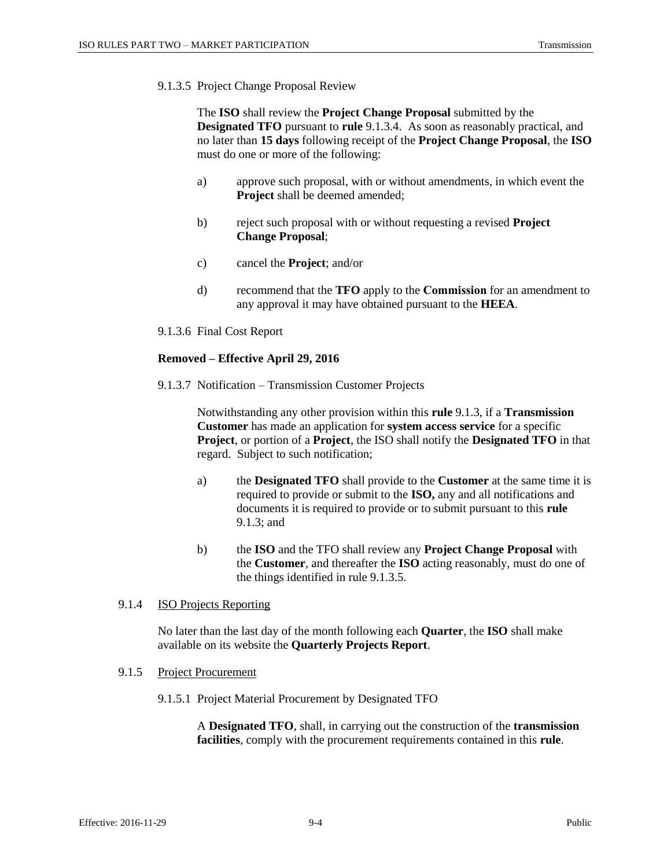9.1.3.5 Project Change Proposal Review

The **ISO** shall review the **Project Change Proposal** submitted by the **Designated TFO** pursuant to **rule** 9.1.3.4. As soon as reasonably practical, and no later than **15 days** following receipt of the **Project Change Proposal**, the **ISO** must do one or more of the following:

- a) approve such proposal, with or without amendments, in which event the **Project** shall be deemed amended;
- b) reject such proposal with or without requesting a revised **Project Change Proposal**;
- c) cancel the **Project**; and/or
- d) recommend that the **TFO** apply to the **Commission** for an amendment to any approval it may have obtained pursuant to the **HEEA**.
- 9.1.3.6 Final Cost Report

### **Removed – Effective April 29, 2016**

9.1.3.7 Notification – Transmission Customer Projects

Notwithstanding any other provision within this **rule** 9.1.3, if a **Transmission Customer** has made an application for **system access service** for a specific **Project**, or portion of a **Project**, the ISO shall notify the **Designated TFO** in that regard. Subject to such notification;

- a) the **Designated TFO** shall provide to the **Customer** at the same time it is required to provide or submit to the **ISO,** any and all notifications and documents it is required to provide or to submit pursuant to this **rule**  9.1.3; and
- b) the **ISO** and the TFO shall review any **Project Change Proposal** with the **Customer**, and thereafter the **ISO** acting reasonably, must do one of the things identified in rule 9.1.3.5.

#### 9.1.4 ISO Projects Reporting

No later than the last day of the month following each **Quarter**, the **ISO** shall make available on its website the **Quarterly Projects Report**.

#### 9.1.5 Project Procurement

9.1.5.1 Project Material Procurement by Designated TFO

A **Designated TFO**, shall, in carrying out the construction of the **transmission facilities**, comply with the procurement requirements contained in this **rule**.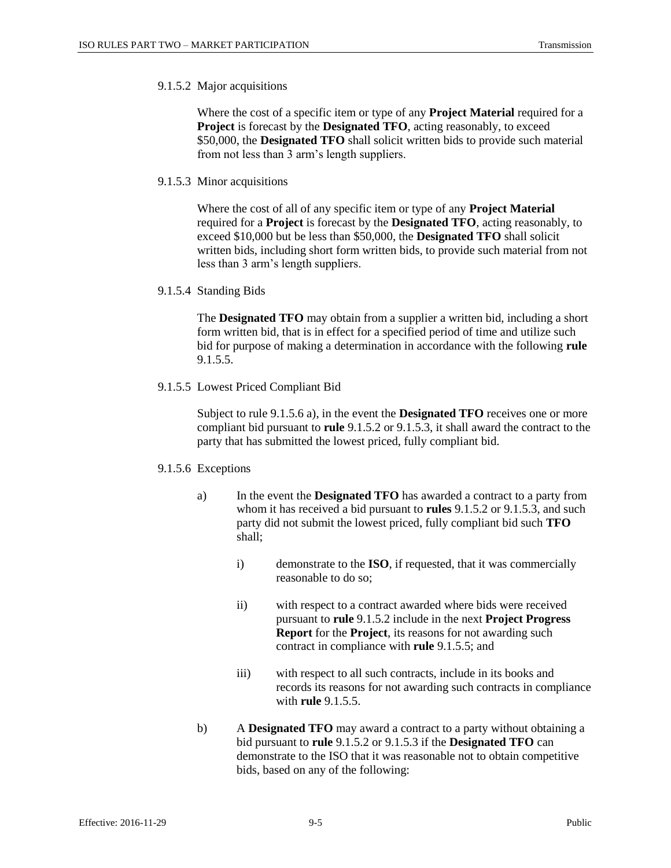#### 9.1.5.2 Major acquisitions

Where the cost of a specific item or type of any **Project Material** required for a **Project** is forecast by the **Designated TFO**, acting reasonably, to exceed \$50,000, the **Designated TFO** shall solicit written bids to provide such material from not less than 3 arm's length suppliers.

9.1.5.3 Minor acquisitions

Where the cost of all of any specific item or type of any **Project Material** required for a **Project** is forecast by the **Designated TFO**, acting reasonably, to exceed \$10,000 but be less than \$50,000, the **Designated TFO** shall solicit written bids, including short form written bids, to provide such material from not less than 3 arm's length suppliers.

9.1.5.4 Standing Bids

The **Designated TFO** may obtain from a supplier a written bid, including a short form written bid, that is in effect for a specified period of time and utilize such bid for purpose of making a determination in accordance with the following **rule** 9.1.5.5.

9.1.5.5 Lowest Priced Compliant Bid

Subject to rule 9.1.5.6 a), in the event the **Designated TFO** receives one or more compliant bid pursuant to **rule** 9.1.5.2 or 9.1.5.3, it shall award the contract to the party that has submitted the lowest priced, fully compliant bid.

#### 9.1.5.6 Exceptions

- a) In the event the **Designated TFO** has awarded a contract to a party from whom it has received a bid pursuant to **rules** 9.1.5.2 or 9.1.5.3, and such party did not submit the lowest priced, fully compliant bid such **TFO** shall;
	- i) demonstrate to the **ISO**, if requested, that it was commercially reasonable to do so;
	- ii) with respect to a contract awarded where bids were received pursuant to **rule** 9.1.5.2 include in the next **Project Progress Report** for the **Project**, its reasons for not awarding such contract in compliance with **rule** 9.1.5.5; and
	- iii) with respect to all such contracts, include in its books and records its reasons for not awarding such contracts in compliance with **rule** 9.1.5.5.
- b) A **Designated TFO** may award a contract to a party without obtaining a bid pursuant to **rule** 9.1.5.2 or 9.1.5.3 if the **Designated TFO** can demonstrate to the ISO that it was reasonable not to obtain competitive bids, based on any of the following: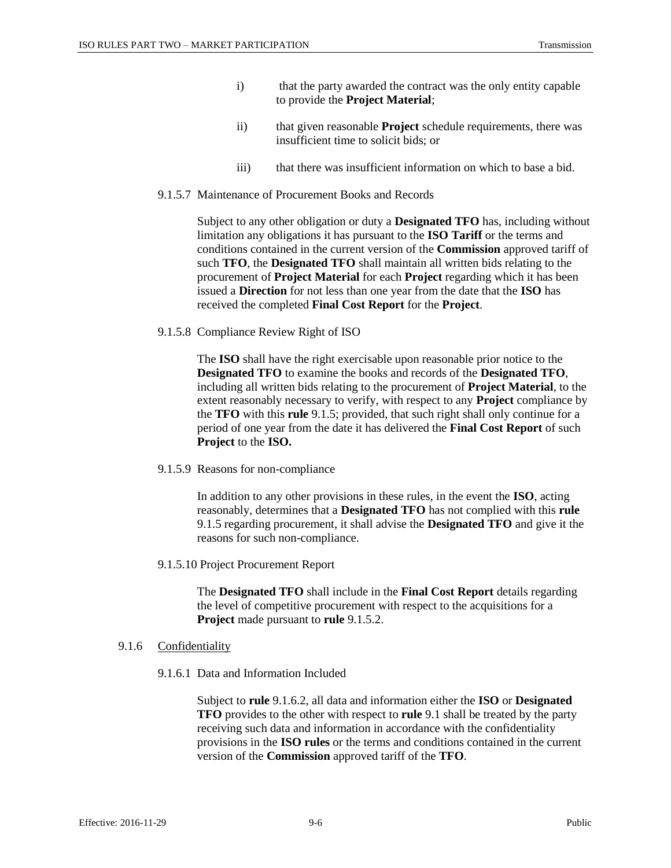- i) that the party awarded the contract was the only entity capable to provide the **Project Material**;
- ii) that given reasonable **Project** schedule requirements, there was insufficient time to solicit bids; or
- iii) that there was insufficient information on which to base a bid.
- 9.1.5.7 Maintenance of Procurement Books and Records

Subject to any other obligation or duty a **Designated TFO** has, including without limitation any obligations it has pursuant to the **ISO Tariff** or the terms and conditions contained in the current version of the **Commission** approved tariff of such **TFO**, the **Designated TFO** shall maintain all written bids relating to the procurement of **Project Material** for each **Project** regarding which it has been issued a **Direction** for not less than one year from the date that the **ISO** has received the completed **Final Cost Report** for the **Project**.

9.1.5.8 Compliance Review Right of ISO

The **ISO** shall have the right exercisable upon reasonable prior notice to the **Designated TFO** to examine the books and records of the **Designated TFO**, including all written bids relating to the procurement of **Project Material**, to the extent reasonably necessary to verify, with respect to any **Project** compliance by the **TFO** with this **rule** 9.1.5; provided, that such right shall only continue for a period of one year from the date it has delivered the **Final Cost Report** of such **Project** to the **ISO.** 

9.1.5.9 Reasons for non-compliance

In addition to any other provisions in these rules, in the event the **ISO**, acting reasonably, determines that a **Designated TFO** has not complied with this **rule** 9.1.5 regarding procurement, it shall advise the **Designated TFO** and give it the reasons for such non-compliance.

9.1.5.10 Project Procurement Report

The **Designated TFO** shall include in the **Final Cost Report** details regarding the level of competitive procurement with respect to the acquisitions for a **Project** made pursuant to **rule** 9.1.5.2.

#### 9.1.6 Confidentiality

9.1.6.1 Data and Information Included

Subject to **rule** 9.1.6.2, all data and information either the **ISO** or **Designated TFO** provides to the other with respect to **rule** 9.1 shall be treated by the party receiving such data and information in accordance with the confidentiality provisions in the **ISO rules** or the terms and conditions contained in the current version of the **Commission** approved tariff of the **TFO**.